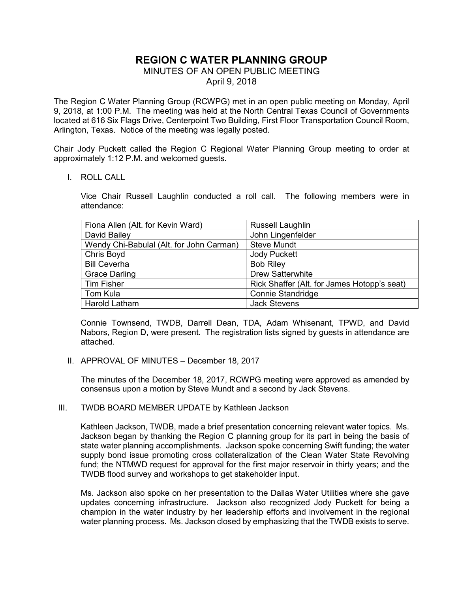# **REGION C WATER PLANNING GROUP**

## MINUTES OF AN OPEN PUBLIC MEETING

April 9, 2018

The Region C Water Planning Group (RCWPG) met in an open public meeting on Monday, April 9, 2018, at 1:00 P.M. The meeting was held at the North Central Texas Council of Governments located at 616 Six Flags Drive, Centerpoint Two Building, First Floor Transportation Council Room, Arlington, Texas. Notice of the meeting was legally posted.

Chair Jody Puckett called the Region C Regional Water Planning Group meeting to order at approximately 1:12 P.M. and welcomed guests.

I. ROLL CALL

Vice Chair Russell Laughlin conducted a roll call. The following members were in attendance:

| Fiona Allen (Alt. for Kevin Ward)        | <b>Russell Laughlin</b>                     |
|------------------------------------------|---------------------------------------------|
| David Bailey                             | John Lingenfelder                           |
| Wendy Chi-Babulal (Alt. for John Carman) | <b>Steve Mundt</b>                          |
| Chris Boyd                               | <b>Jody Puckett</b>                         |
| <b>Bill Ceverha</b>                      | <b>Bob Riley</b>                            |
| <b>Grace Darling</b>                     | <b>Drew Satterwhite</b>                     |
| <b>Tim Fisher</b>                        | Rick Shaffer (Alt. for James Hotopp's seat) |
| Tom Kula                                 | <b>Connie Standridge</b>                    |
| Harold Latham                            | <b>Jack Stevens</b>                         |

Connie Townsend, TWDB, Darrell Dean, TDA, Adam Whisenant, TPWD, and David Nabors, Region D, were present. The registration lists signed by guests in attendance are attached.

II. APPROVAL OF MINUTES – December 18, 2017

The minutes of the December 18, 2017, RCWPG meeting were approved as amended by consensus upon a motion by Steve Mundt and a second by Jack Stevens.

#### III. TWDB BOARD MEMBER UPDATE by Kathleen Jackson

Kathleen Jackson, TWDB, made a brief presentation concerning relevant water topics. Ms. Jackson began by thanking the Region C planning group for its part in being the basis of state water planning accomplishments. Jackson spoke concerning Swift funding; the water supply bond issue promoting cross collateralization of the Clean Water State Revolving fund; the NTMWD request for approval for the first major reservoir in thirty years; and the TWDB flood survey and workshops to get stakeholder input.

Ms. Jackson also spoke on her presentation to the Dallas Water Utilities where she gave updates concerning infrastructure. Jackson also recognized Jody Puckett for being a champion in the water industry by her leadership efforts and involvement in the regional water planning process. Ms. Jackson closed by emphasizing that the TWDB exists to serve.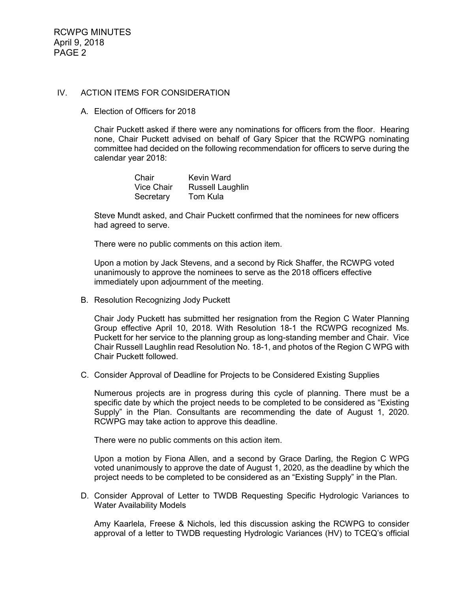#### IV. ACTION ITEMS FOR CONSIDERATION

A. Election of Officers for 2018

Chair Puckett asked if there were any nominations for officers from the floor. Hearing none, Chair Puckett advised on behalf of Gary Spicer that the RCWPG nominating committee had decided on the following recommendation for officers to serve during the calendar year 2018:

> Chair Kevin Ward Vice Chair Russell Laughlin<br>Secretary Tom Kula Secretary

Steve Mundt asked, and Chair Puckett confirmed that the nominees for new officers had agreed to serve.

There were no public comments on this action item.

Upon a motion by Jack Stevens, and a second by Rick Shaffer, the RCWPG voted unanimously to approve the nominees to serve as the 2018 officers effective immediately upon adjournment of the meeting.

B. Resolution Recognizing Jody Puckett

Chair Jody Puckett has submitted her resignation from the Region C Water Planning Group effective April 10, 2018. With Resolution 18-1 the RCWPG recognized Ms. Puckett for her service to the planning group as long-standing member and Chair. Vice Chair Russell Laughlin read Resolution No. 18-1, and photos of the Region C WPG with Chair Puckett followed.

C. Consider Approval of Deadline for Projects to be Considered Existing Supplies

Numerous projects are in progress during this cycle of planning. There must be a specific date by which the project needs to be completed to be considered as "Existing Supply" in the Plan. Consultants are recommending the date of August 1, 2020. RCWPG may take action to approve this deadline.

There were no public comments on this action item.

Upon a motion by Fiona Allen, and a second by Grace Darling, the Region C WPG voted unanimously to approve the date of August 1, 2020, as the deadline by which the project needs to be completed to be considered as an "Existing Supply" in the Plan.

D. Consider Approval of Letter to TWDB Requesting Specific Hydrologic Variances to Water Availability Models

Amy Kaarlela, Freese & Nichols, led this discussion asking the RCWPG to consider approval of a letter to TWDB requesting Hydrologic Variances (HV) to TCEQ's official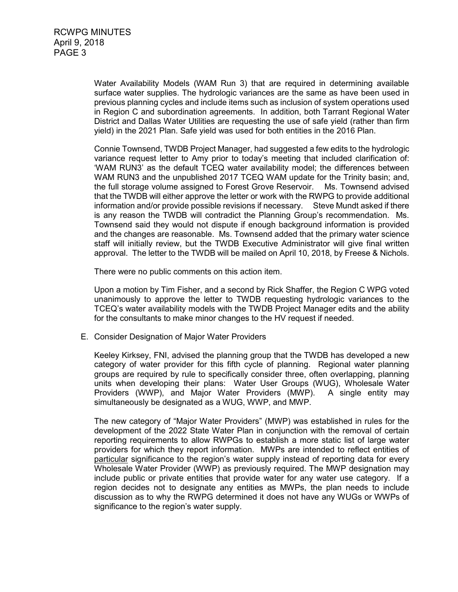Water Availability Models (WAM Run 3) that are required in determining available surface water supplies. The hydrologic variances are the same as have been used in previous planning cycles and include items such as inclusion of system operations used in Region C and subordination agreements. In addition, both Tarrant Regional Water District and Dallas Water Utilities are requesting the use of safe yield (rather than firm yield) in the 2021 Plan. Safe yield was used for both entities in the 2016 Plan.

Connie Townsend, TWDB Project Manager, had suggested a few edits to the hydrologic variance request letter to Amy prior to today's meeting that included clarification of: 'WAM RUN3' as the default TCEQ water availability model; the differences between WAM RUN3 and the unpublished 2017 TCEQ WAM update for the Trinity basin; and, the full storage volume assigned to Forest Grove Reservoir.Ms. Townsend advised that the TWDB will either approve the letter or work with the RWPG to provide additional information and/or provide possible revisions if necessary.Steve Mundt asked if there is any reason the TWDB will contradict the Planning Group's recommendation. Ms. Townsend said they would not dispute if enough background information is provided and the changes are reasonable. Ms. Townsend added that the primary water science staff will initially review, but the TWDB Executive Administrator will give final written approval. The letter to the TWDB will be mailed on April 10, 2018, by Freese & Nichols.

There were no public comments on this action item.

Upon a motion by Tim Fisher, and a second by Rick Shaffer, the Region C WPG voted unanimously to approve the letter to TWDB requesting hydrologic variances to the TCEQ's water availability models with the TWDB Project Manager edits and the ability for the consultants to make minor changes to the HV request if needed.

E. Consider Designation of Major Water Providers

Keeley Kirksey, FNI, advised the planning group that the TWDB has developed a new category of water provider for this fifth cycle of planning. Regional water planning groups are required by rule to specifically consider three, often overlapping, planning units when developing their plans: Water User Groups (WUG), Wholesale Water Providers (WWP), and Major Water Providers (MWP). A single entity may simultaneously be designated as a WUG, WWP, and MWP.

The new category of "Major Water Providers" (MWP) was established in rules for the development of the 2022 State Water Plan in conjunction with the removal of certain reporting requirements to allow RWPGs to establish a more static list of large water providers for which they report information. MWPs are intended to reflect entities of particular significance to the region's water supply instead of reporting data for every Wholesale Water Provider (WWP) as previously required. The MWP designation may include public or private entities that provide water for any water use category. If a region decides not to designate any entities as MWPs, the plan needs to include discussion as to why the RWPG determined it does not have any WUGs or WWPs of significance to the region's water supply.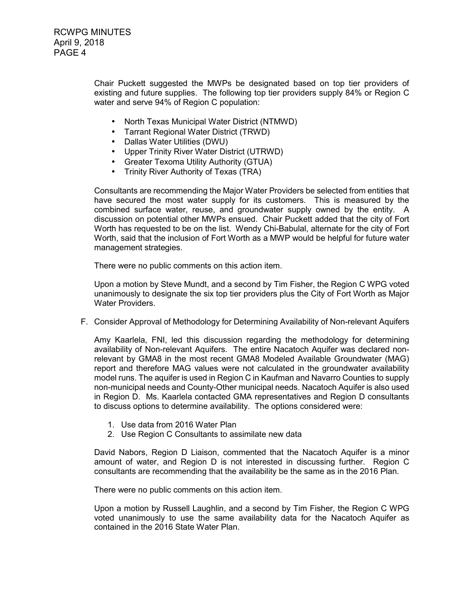Chair Puckett suggested the MWPs be designated based on top tier providers of existing and future supplies. The following top tier providers supply 84% or Region C water and serve 94% of Region C population:

- North Texas Municipal Water District (NTMWD)
- Tarrant Regional Water District (TRWD)
- Dallas Water Utilities (DWU)
- Upper Trinity River Water District (UTRWD)
- Greater Texoma Utility Authority (GTUA)
- Trinity River Authority of Texas (TRA)

Consultants are recommending the Major Water Providers be selected from entities that have secured the most water supply for its customers. This is measured by the combined surface water, reuse, and groundwater supply owned by the entity. A discussion on potential other MWPs ensued. Chair Puckett added that the city of Fort Worth has requested to be on the list. Wendy Chi-Babulal, alternate for the city of Fort Worth, said that the inclusion of Fort Worth as a MWP would be helpful for future water management strategies.

There were no public comments on this action item.

Upon a motion by Steve Mundt, and a second by Tim Fisher, the Region C WPG voted unanimously to designate the six top tier providers plus the City of Fort Worth as Major Water Providers.

F. Consider Approval of Methodology for Determining Availability of Non-relevant Aquifers

Amy Kaarlela, FNI, led this discussion regarding the methodology for determining availability of Non-relevant Aquifers. The entire Nacatoch Aquifer was declared nonrelevant by GMA8 in the most recent GMA8 Modeled Available Groundwater (MAG) report and therefore MAG values were not calculated in the groundwater availability model runs. The aquifer is used in Region C in Kaufman and Navarro Counties to supply non-municipal needs and County-Other municipal needs. Nacatoch Aquifer is also used in Region D. Ms. Kaarlela contacted GMA representatives and Region D consultants to discuss options to determine availability. The options considered were:

- 1. Use data from 2016 Water Plan
- 2. Use Region C Consultants to assimilate new data

David Nabors, Region D Liaison, commented that the Nacatoch Aquifer is a minor amount of water, and Region D is not interested in discussing further. Region C consultants are recommending that the availability be the same as in the 2016 Plan.

There were no public comments on this action item.

Upon a motion by Russell Laughlin, and a second by Tim Fisher, the Region C WPG voted unanimously to use the same availability data for the Nacatoch Aquifer as contained in the 2016 State Water Plan.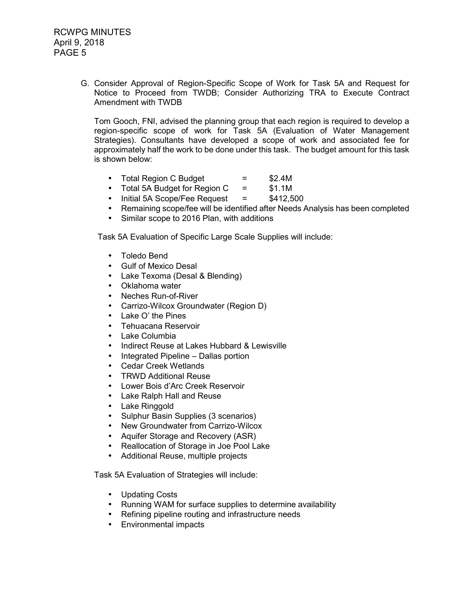G. Consider Approval of Region-Specific Scope of Work for Task 5A and Request for Notice to Proceed from TWDB; Consider Authorizing TRA to Execute Contract Amendment with TWDB

Tom Gooch, FNI, advised the planning group that each region is required to develop a region-specific scope of work for Task 5A (Evaluation of Water Management Strategies). Consultants have developed a scope of work and associated fee for approximately half the work to be done under this task. The budget amount for this task is shown below:

- Total Region C Budget  $=$  \$2.4M
- Total 5A Budget for Region C = \$1.1M
- Initial 5A Scope/Fee Request  $=$  \$412,500
- Remaining scope/fee will be identified after Needs Analysis has been completed
- Similar scope to 2016 Plan, with additions

Task 5A Evaluation of Specific Large Scale Supplies will include:

- Toledo Bend
- Gulf of Mexico Desal
- Lake Texoma (Desal & Blending)
- Oklahoma water
- Neches Run-of-River
- Carrizo-Wilcox Groundwater (Region D)
- Lake O' the Pines
- Tehuacana Reservoir
- Lake Columbia
- Indirect Reuse at Lakes Hubbard & Lewisville
- Integrated Pipeline Dallas portion
- Cedar Creek Wetlands
- TRWD Additional Reuse
- Lower Bois d'Arc Creek Reservoir
- Lake Ralph Hall and Reuse
- Lake Ringgold
- Sulphur Basin Supplies (3 scenarios)
- New Groundwater from Carrizo-Wilcox
- Aquifer Storage and Recovery (ASR)
- Reallocation of Storage in Joe Pool Lake
- Additional Reuse, multiple projects

Task 5A Evaluation of Strategies will include:

- Updating Costs
- Running WAM for surface supplies to determine availability
- Refining pipeline routing and infrastructure needs
- Environmental impacts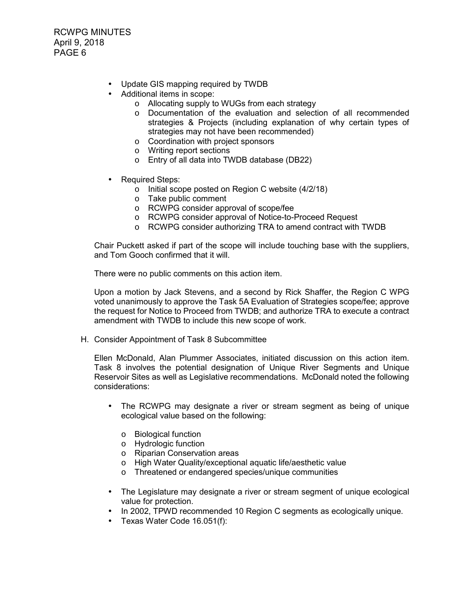- Update GIS mapping required by TWDB
- Additional items in scope:
	- o Allocating supply to WUGs from each strategy
	- o Documentation of the evaluation and selection of all recommended strategies & Projects (including explanation of why certain types of strategies may not have been recommended)
	- o Coordination with project sponsors
	- o Writing report sections
	- o Entry of all data into TWDB database (DB22)
- Required Steps:
	- o Initial scope posted on Region C website (4/2/18)
	- o Take public comment
	- o RCWPG consider approval of scope/fee
	- o RCWPG consider approval of Notice-to-Proceed Request
	- o RCWPG consider authorizing TRA to amend contract with TWDB

Chair Puckett asked if part of the scope will include touching base with the suppliers, and Tom Gooch confirmed that it will.

There were no public comments on this action item.

Upon a motion by Jack Stevens, and a second by Rick Shaffer, the Region C WPG voted unanimously to approve the Task 5A Evaluation of Strategies scope/fee; approve the request for Notice to Proceed from TWDB; and authorize TRA to execute a contract amendment with TWDB to include this new scope of work.

H. Consider Appointment of Task 8 Subcommittee

Ellen McDonald, Alan Plummer Associates, initiated discussion on this action item. Task 8 involves the potential designation of Unique River Segments and Unique Reservoir Sites as well as Legislative recommendations. McDonald noted the following considerations:

- The RCWPG may designate a river or stream segment as being of unique ecological value based on the following:
	- o Biological function
	- o Hydrologic function
	- o Riparian Conservation areas
	- o High Water Quality/exceptional aquatic life/aesthetic value
	- o Threatened or endangered species/unique communities
- The Legislature may designate a river or stream segment of unique ecological value for protection.
- In 2002, TPWD recommended 10 Region C segments as ecologically unique.
- Texas Water Code 16.051(f):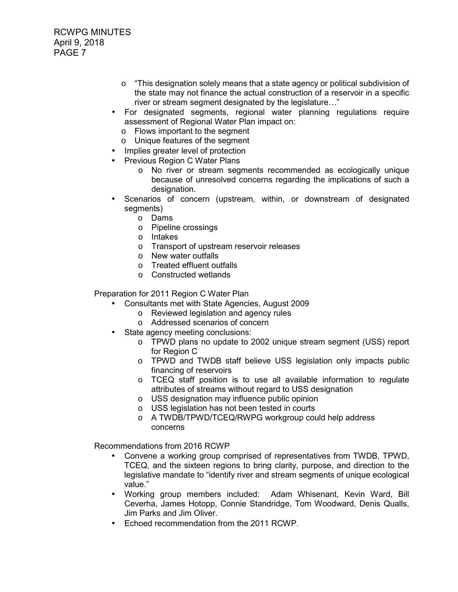- $\circ$  "This designation solely means that a state agency or political subdivision of the state may not finance the actual construction of a reservoir in a specific river or stream segment designated by the legislature…"
- For designated segments, regional water planning regulations require assessment of Regional Water Plan impact on:
	- o Flows important to the segment
	- o Unique features of the segment
- Implies greater level of protection
- Previous Region C Water Plans
	- o No river or stream segments recommended as ecologically unique because of unresolved concerns regarding the implications of such a designation.
- Scenarios of concern (upstream, within, or downstream of designated segments)
	- o Dams
	- o Pipeline crossings
	- o Intakes
	- o Transport of upstream reservoir releases
	- o New water outfalls
	- o Treated effluent outfalls
	- o Constructed wetlands

Preparation for 2011 Region C Water Plan

- Consultants met with State Agencies, August 2009
	- o Reviewed legislation and agency rules
	- o Addressed scenarios of concern
- State agency meeting conclusions:
	- o TPWD plans no update to 2002 unique stream segment (USS) report for Region C
	- o TPWD and TWDB staff believe USS legislation only impacts public financing of reservoirs
	- $\circ$  TCEQ staff position is to use all available information to regulate attributes of streams without regard to USS designation
	- o USS designation may influence public opinion
	- o USS legislation has not been tested in courts
	- o A TWDB/TPWD/TCEQ/RWPG workgroup could help address concerns

Recommendations from 2016 RCWP

- Convene a working group comprised of representatives from TWDB, TPWD, TCEQ, and the sixteen regions to bring clarity, purpose, and direction to the legislative mandate to "identify river and stream segments of unique ecological value."
- Working group members included: Adam Whisenant, Kevin Ward, Bill Ceverha, James Hotopp, Connie Standridge, Tom Woodward, Denis Qualls, Jim Parks and Jim Oliver.
- Echoed recommendation from the 2011 RCWP.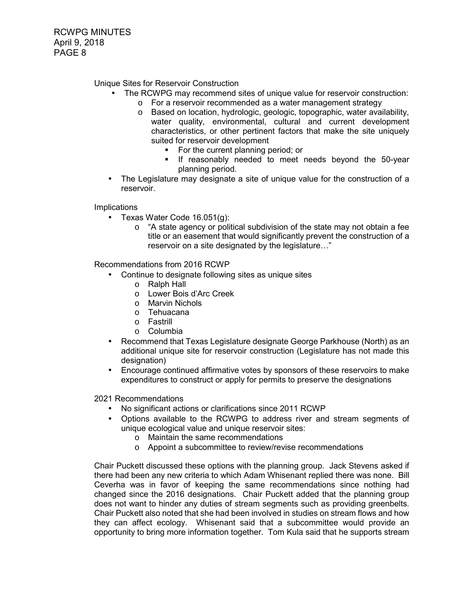Unique Sites for Reservoir Construction

- The RCWPG may recommend sites of unique value for reservoir construction:
	- o For a reservoir recommended as a water management strategy
	- o Based on location, hydrologic, geologic, topographic, water availability, water quality, environmental, cultural and current development characteristics, or other pertinent factors that make the site uniquely suited for reservoir development
		- For the current planning period; or
		- **If reasonably needed to meet needs beyond the 50-year** planning period.
- The Legislature may designate a site of unique value for the construction of a reservoir.

Implications

- Texas Water Code 16.051(g):
	- $\circ$  "A state agency or political subdivision of the state may not obtain a fee title or an easement that would significantly prevent the construction of a reservoir on a site designated by the legislature…"

Recommendations from 2016 RCWP

- Continue to designate following sites as unique sites
	- o Ralph Hall
	- o Lower Bois d'Arc Creek
	- o Marvin Nichols
	- o Tehuacana
	- o Fastrill
	- o Columbia
- Recommend that Texas Legislature designate George Parkhouse (North) as an additional unique site for reservoir construction (Legislature has not made this designation)
- Encourage continued affirmative votes by sponsors of these reservoirs to make expenditures to construct or apply for permits to preserve the designations

2021 Recommendations

- No significant actions or clarifications since 2011 RCWP
- Options available to the RCWPG to address river and stream segments of unique ecological value and unique reservoir sites:
	- o Maintain the same recommendations
	- o Appoint a subcommittee to review/revise recommendations

Chair Puckett discussed these options with the planning group. Jack Stevens asked if there had been any new criteria to which Adam Whisenant replied there was none. Bill Ceverha was in favor of keeping the same recommendations since nothing had changed since the 2016 designations. Chair Puckett added that the planning group does not want to hinder any duties of stream segments such as providing greenbelts. Chair Puckett also noted that she had been involved in studies on stream flows and how they can affect ecology. Whisenant said that a subcommittee would provide an opportunity to bring more information together. Tom Kula said that he supports stream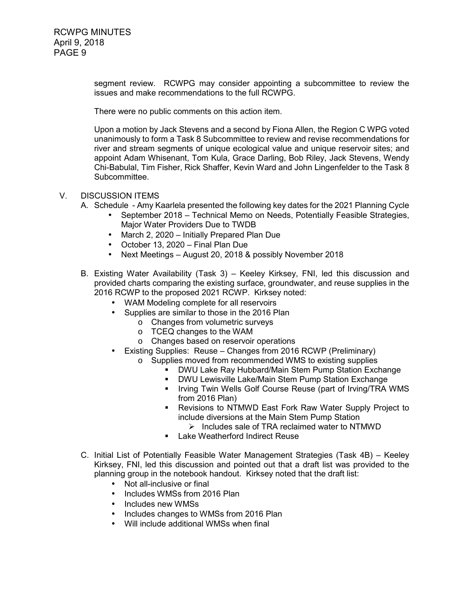> segment review. RCWPG may consider appointing a subcommittee to review the issues and make recommendations to the full RCWPG.

There were no public comments on this action item.

Upon a motion by Jack Stevens and a second by Fiona Allen, the Region C WPG voted unanimously to form a Task 8 Subcommittee to review and revise recommendations for river and stream segments of unique ecological value and unique reservoir sites; and appoint Adam Whisenant, Tom Kula, Grace Darling, Bob Riley, Jack Stevens, Wendy Chi-Babulal, Tim Fisher, Rick Shaffer, Kevin Ward and John Lingenfelder to the Task 8 Subcommittee.

## V. DISCUSSION ITEMS

- A. Schedule Amy Kaarlela presented the following key dates for the 2021 Planning Cycle
	- September 2018 Technical Memo on Needs, Potentially Feasible Strategies, Major Water Providers Due to TWDB
	- March 2, 2020 Initially Prepared Plan Due
	- October 13, 2020 Final Plan Due
	- Next Meetings August 20, 2018 & possibly November 2018
- B. Existing Water Availability (Task 3) Keeley Kirksey, FNI, led this discussion and provided charts comparing the existing surface, groundwater, and reuse supplies in the 2016 RCWP to the proposed 2021 RCWP. Kirksey noted:
	- WAM Modeling complete for all reservoirs
	- Supplies are similar to those in the 2016 Plan
		- o Changes from volumetric surveys
		- o TCEQ changes to the WAM
		- o Changes based on reservoir operations
	- Existing Supplies: Reuse Changes from 2016 RCWP (Preliminary)
		- o Supplies moved from recommended WMS to existing supplies
			- DWU Lake Ray Hubbard/Main Stem Pump Station Exchange
			- DWU Lewisville Lake/Main Stem Pump Station Exchange
			- **IF Irving Twin Wells Golf Course Reuse (part of Irving/TRA WMS)** from 2016 Plan)
			- Revisions to NTMWD East Fork Raw Water Supply Project to include diversions at the Main Stem Pump Station
				- > Includes sale of TRA reclaimed water to NTMWD
			- **Lake Weatherford Indirect Reuse**
- C. Initial List of Potentially Feasible Water Management Strategies (Task 4B) Keeley Kirksey, FNI, led this discussion and pointed out that a draft list was provided to the planning group in the notebook handout. Kirksey noted that the draft list:
	- Not all-inclusive or final
	- Includes WMSs from 2016 Plan
	- Includes new WMSs
	- Includes changes to WMSs from 2016 Plan
	- Will include additional WMSs when final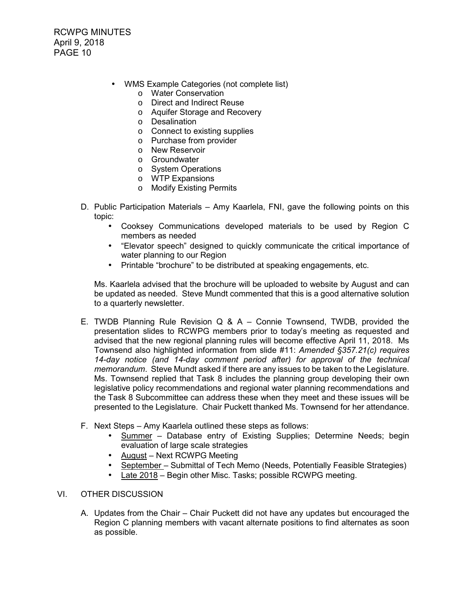- WMS Example Categories (not complete list)
	- o Water Conservation
	- o Direct and Indirect Reuse
	- o Aquifer Storage and Recovery
	- o Desalination
	- o Connect to existing supplies
	- o Purchase from provider
	- o New Reservoir
	- o Groundwater
	- o System Operations
	- o WTP Expansions
	- o Modify Existing Permits
- D. Public Participation Materials Amy Kaarlela, FNI, gave the following points on this topic:
	- Cooksey Communications developed materials to be used by Region C members as needed
	- "Elevator speech" designed to quickly communicate the critical importance of water planning to our Region
	- Printable "brochure" to be distributed at speaking engagements, etc.

 Ms. Kaarlela advised that the brochure will be uploaded to website by August and can be updated as needed. Steve Mundt commented that this is a good alternative solution to a quarterly newsletter.

- E. TWDB Planning Rule Revision Q & A Connie Townsend, TWDB, provided the presentation slides to RCWPG members prior to today's meeting as requested and advised that the new regional planning rules will become effective April 11, 2018. Ms Townsend also highlighted information from slide #11: *Amended §357.21(c) requires 14-day notice (and 14-day comment period after) for approval of the technical memorandum*. Steve Mundt asked if there are any issues to be taken to the Legislature. Ms. Townsend replied that Task 8 includes the planning group developing their own legislative policy recommendations and regional water planning recommendations and the Task 8 Subcommittee can address these when they meet and these issues will be presented to the Legislature. Chair Puckett thanked Ms. Townsend for her attendance.
- F. Next Steps Amy Kaarlela outlined these steps as follows:
	- Summer Database entry of Existing Supplies; Determine Needs; begin evaluation of large scale strategies
	- August Next RCWPG Meeting
	- September Submittal of Tech Memo (Needs, Potentially Feasible Strategies)
	- Late 2018 Begin other Misc. Tasks; possible RCWPG meeting.

### VI. OTHER DISCUSSION

A. Updates from the Chair – Chair Puckett did not have any updates but encouraged the Region C planning members with vacant alternate positions to find alternates as soon as possible.